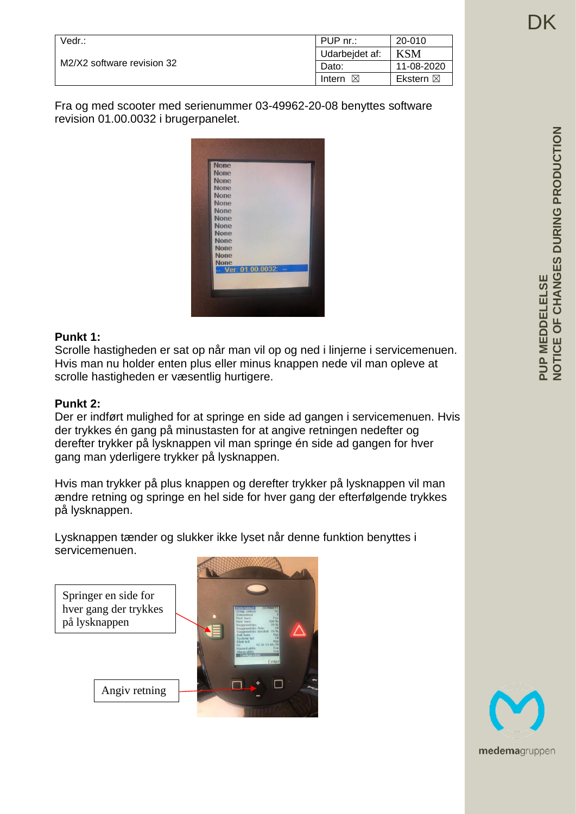| Vedr.:                     | PUP nr.:       | 20-010              |
|----------------------------|----------------|---------------------|
| M2/X2 software revision 32 | Udarbejdet af: | KSM                 |
|                            | Dato:          | 11-08-2020          |
|                            | ⊠<br>Intern    | Ekstern $\boxtimes$ |

Fra og med scooter med serienummer 03-49962-20-08 benyttes software revision 01.00.0032 i brugerpanelet.



### **Punkt 1:**

Scrolle hastigheden er sat op når man vil op og ned i linjerne i servicemenuen. Hvis man nu holder enten plus eller minus knappen nede vil man opleve at scrolle hastigheden er væsentlig hurtigere.

#### **Punkt 2:**

Der er indført mulighed for at springe en side ad gangen i servicemenuen. Hvis der trykkes én gang på minustasten for at angive retningen nedefter og derefter trykker på lysknappen vil man springe én side ad gangen for hver gang man yderligere trykker på lysknappen.

Hvis man trykker på plus knappen og derefter trykker på lysknappen vil man ændre retning og springe en hel side for hver gang der efterfølgende trykkes på lysknappen.

Lysknappen tænder og slukker ikke lyset når denne funktion benyttes i servicemenuen.

Springer en side for hver gang der trykkes på lysknappen

Angiv retning



**PUP MEDDELELSE**

PUP MEDDELELSE

**NOTICE OF CHANGES DURING PRODUCTION**

NOTICE OF CHANGES DURING PRODUCTION

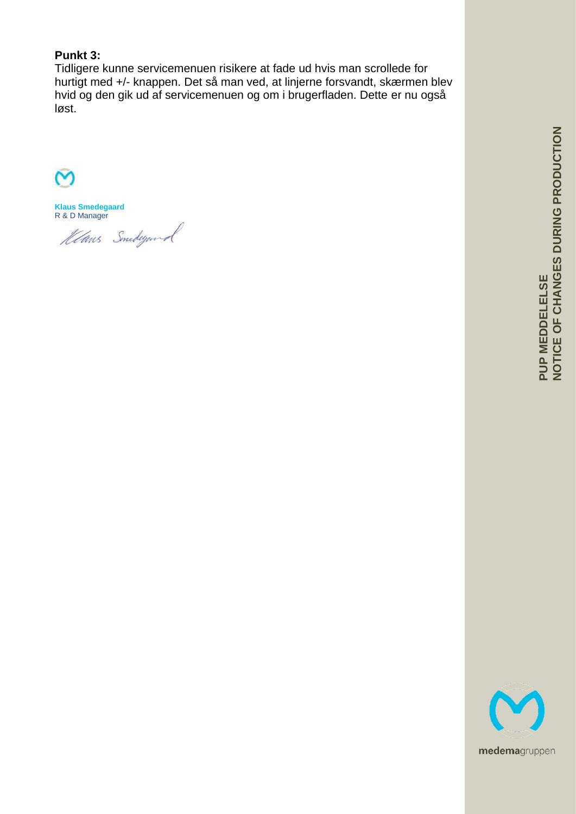# **Punkt 3:**

Tidligere kunne servicemenuen risikere at fade ud hvis man scrollede for hurtigt med +/- knappen. Det så man ved, at linjerne forsvandt, skærmen blev hvid og den gik ud af servicemenuen og om i brugerfladen. Dette er nu også løst.

**Klaus Smedegaard** R & D Manager

Klans Smedegand

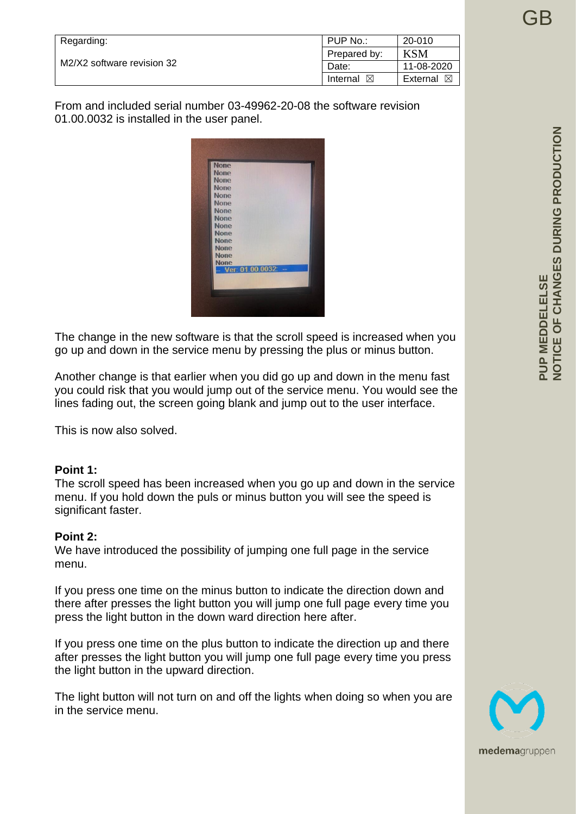| Regarding:                 | PUP No.:             | 20-010               |
|----------------------------|----------------------|----------------------|
| M2/X2 software revision 32 | Prepared by:         | KSM                  |
|                            | Date:                | 11-08-2020           |
|                            | Internal $\boxtimes$ | External $\boxtimes$ |

From and included serial number 03-49962-20-08 the software revision 01.00.0032 is installed in the user panel.



The change in the new software is that the scroll speed is increased when you go up and down in the service menu by pressing the plus or minus button.

Another change is that earlier when you did go up and down in the menu fast you could risk that you would jump out of the service menu. You would see the lines fading out, the screen going blank and jump out to the user interface.

This is now also solved.

### **Point 1:**

The scroll speed has been increased when you go up and down in the service menu. If you hold down the puls or minus button you will see the speed is significant faster.

### **Point 2:**

We have introduced the possibility of jumping one full page in the service menu.

If you press one time on the minus button to indicate the direction down and there after presses the light button you will jump one full page every time you press the light button in the down ward direction here after.

If you press one time on the plus button to indicate the direction up and there after presses the light button you will jump one full page every time you press the light button in the upward direction.

The light button will not turn on and off the lights when doing so when you are in the service menu.



GB